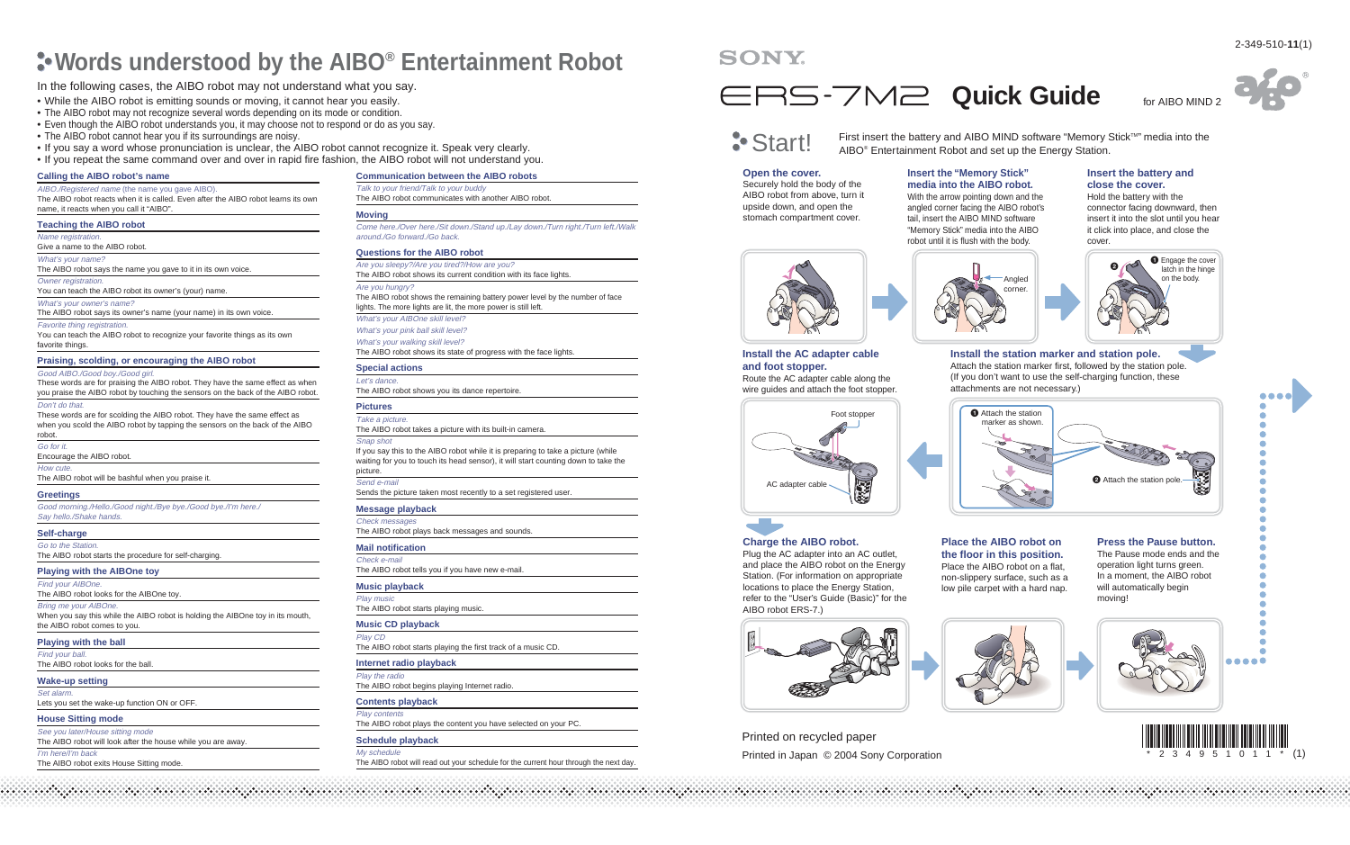# **Words understood by the AIBO® Entertainment Robot**

# In the following cases, the AIBO robot may not understand what you say.

- While the AIBO robot is emitting sounds or moving, it cannot hear you easily.
- The AIBO robot may not recognize several words depending on its mode or condition.
- Even though the AIBO robot understands you, it may choose not to respond or do as you say.
- The AIBO robot cannot hear you if its surroundings are noisy.
- If you say a word whose pronunciation is unclear, the AIBO robot cannot recognize it. Speak very clearly.
- If you repeat the same command over and over in rapid fire fashion, the AIBO robot will not understand you.

# **Calling the AIBO robot's name**

**Teaching the AIBO robot** Name registration. Give a name to the AIBO robot. What's your name?

Owner registration.

favorite things.

Don't do that.

robot. Go for it.

How cute.

**Greetings**

What's your owner's name?

Favorite thing registration.

Good AIBO./Good boy./Good girl.

Encourage the AIBO robot.

Say hello./Shake hands. **Self-charge** Go to the Station.

Find your AIBOne.

Bring me your AIBOne.

**Wake-up setting** Set alarm.

**House Sitting mode** See you later/House sitting mode

the AIBO robot comes to you. **Playing with the ball** Find your ball.

The AIBO robot looks for the ball.

**Playing with the AIBOne toy**

The AIBO robot looks for the AIBOne toy.

Lets you set the wake-up function ON or OFF.

The AIBO robot exits House Sitting mode.

The AIBO robot will look after the house while you are away.

The AIBO robot will be bashful when you praise it.

The AIBO robot starts the procedure for self-charging.

Good morning./Hello./Good night./Bye bye./Good bye./I'm here./

AIBO./Registered name (the name you gave AIBO). The AIBO robot reacts when it is called. Even after the AIBO robot learns its own name, it reacts when you call it "AIBO".

The AIBO robot says the name you gave to it in its own voice.

The AIBO robot says its owner's name (your name) in its own voice.

**Praising, scolding, or encouraging the AIBO robot**

You can teach the AIBO robot to recognize your favorite things as its own

These words are for praising the AIBO robot. They have the same effect as when you praise the AIBO robot by touching the sensors on the back of the AIBO robot.

These words are for scolding the AIBO robot. They have the same effect as when you scold the AIBO robot by tapping the sensors on the back of the AIBO

You can teach the AIBO robot its owner's (your) name.

#### **Moving**

Come here./Over here./Sit down./Stand up./Lay down./Turn right./Turn left./Walk around./Go forward./Go back.

#### **Questions for the AIBO robot**

Talk to your friend/Talk to your buddy

**Communication between the AIBO robots**

The AIBO robot communicates with another AIBO robot.

Are you sleepy?/Are you tired?/How are you? The AIBO robot shows its current condition with its face lights. Are you hungry? The AIBO robot shows the remaining battery power level by the number of face lights. The more lights are lit, the more power is still left. What's your AIBOne skill level? What's your pink ball skill level? What's your walking skill level?

The AIBO robot shows its state of progress with the face lights.

#### **Special actions** Let's dance.

The AIBO robot shows you its dance repertoire.

# **Pictures**

Take a picture. The AIBO robot takes a picture with its built-in camera. Snap shot

If you say this to the AIBO robot while it is preparing to take a picture (while waiting for you to touch its head sensor), it will start counting down to take the picture. Send e-mail

Sends the picture taken most recently to a set registered user.

# **Message playback**

Check messages The AIBO robot plays back messages and sounds.

# **Mail notification**

Check e-mail The AIBO robot tells you if you have new e-mail.

# **Music playback**

When you say this while the AIBO robot is holding the AIBOne toy in its mouth, Play music The AIBO robot starts playing music.

#### **Music CD playback**

Play CD The AIBO robot starts playing the first track of a music CD.

# **Internet radio playback**

Play the radio The AIBO robot begins playing Internet radio.

# **Contents playback**

Play contents

The AIBO robot plays the content you have selected on your PC.

# **Schedule playback**

My schedule The AIBO robot will read out your schedule for the current hour through the next day.

# SONY

# ERS-7M2 Quick Guide for AIBO MIND 2

**Start!** First insert the battery and AIBO MIND software "Memory Stick<sup>TM"</sup> media into the AIBO® Entertainment Robot and set up the Energy Station.

#### **Open the cover.** Securely hold the body of the AIBO robot from above, turn it

upside down, and open the

## **media into the AIBO robot.** With the arrow pointing down and the angled corner facing the AIBO robot's tail, insert the AIBO MIND software "Memory Stick" media into the AIBO

**Insert the "Memory Stick"** 

## **Insert the battery and close the cover.**

Hold the battery with the connector facing downward, then insert it into the slot until you hear it click into place, and close the cover.



**Install the station marker and station pole.** Attach the station marker first, followed by the station pole. (If you don't want to use the self-charging function, these attachments are not necessary.)



# **Charge the AIBO robot.**

Plug the AC adapter into an AC outlet, and place the AIBO robot on the Energy Station. (For information on appropriate locations to place the Energy Station, refer to the "User's Guide (Basic)" for the AIBO robot ERS-7.)



Printed in Japan © 2004 Sony Corporation Printed on recycled paper

### **Place the AIBO robot on the floor in this position.** Place the AIBO robot on a flat, non-slippery surface, such as a low pile carpet with a hard nap.

**Press the Pause button.** The Pause mode ends and the operation light turns green.

In a moment, the AIBO robot will automatically begin moving!

**AAAAA** 





I'm here/I'm back



Foot stopper









**Install the AC adapter cable** 

Route the AC adapter cable along the wire guides and attach the foot stopper.

**and foot stopper.**